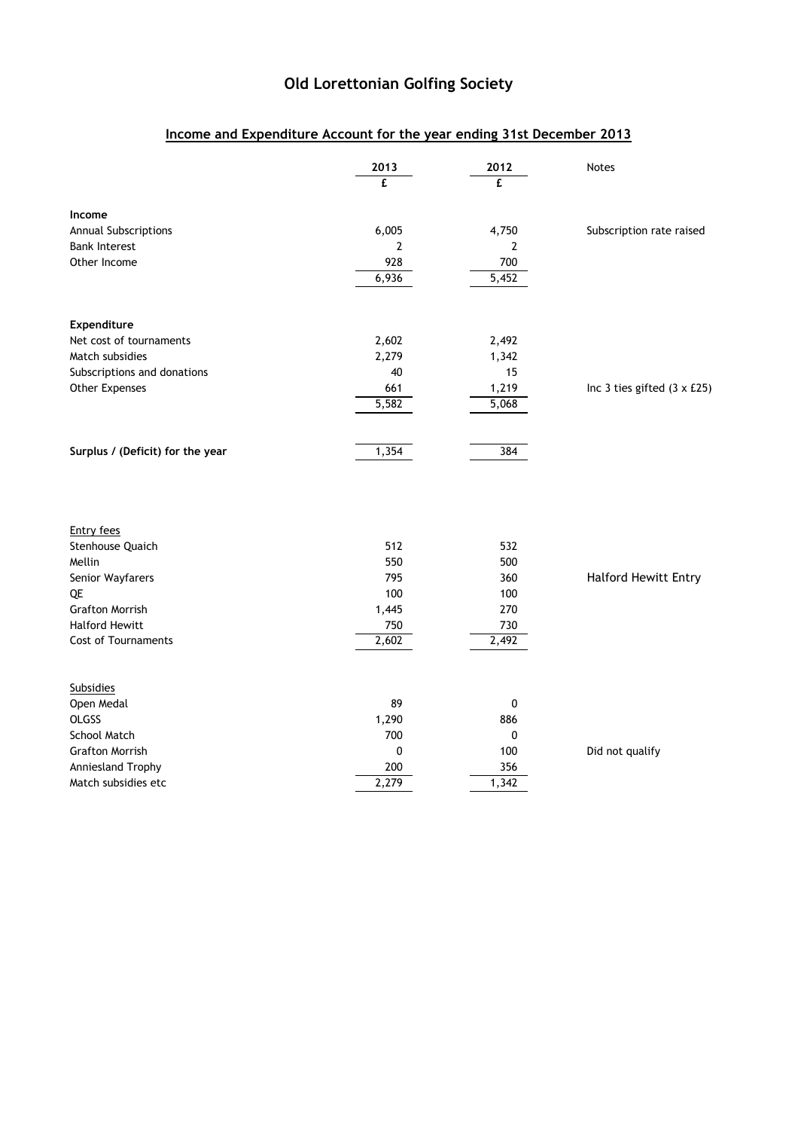## Old Lorettonian Golfing Society

## Income and Expenditure Account for the year ending 31st December 2013

|                                  | 2013<br>£ | 2012<br>£ | <b>Notes</b>                       |
|----------------------------------|-----------|-----------|------------------------------------|
| Income                           |           |           |                                    |
| Annual Subscriptions             | 6,005     | 4,750     | Subscription rate raised           |
| <b>Bank Interest</b>             | 2         | 2         |                                    |
| Other Income                     | 928       | 700       |                                    |
|                                  | 6,936     | 5,452     |                                    |
| Expenditure                      |           |           |                                    |
| Net cost of tournaments          | 2,602     | 2,492     |                                    |
| Match subsidies                  | 2,279     | 1,342     |                                    |
| Subscriptions and donations      | 40        | 15        |                                    |
| Other Expenses                   | 661       | 1,219     | Inc 3 ties gifted $(3 \times £25)$ |
|                                  | 5,582     | 5,068     |                                    |
| Surplus / (Deficit) for the year | 1,354     | 384       |                                    |
|                                  |           |           |                                    |
| <b>Entry fees</b>                |           |           |                                    |
| Stenhouse Quaich                 | 512       | 532       |                                    |
| Mellin                           | 550       | 500       |                                    |
| Senior Wayfarers                 | 795       | 360       | <b>Halford Hewitt Entry</b>        |
| QE                               | 100       | 100       |                                    |
| <b>Grafton Morrish</b>           | 1,445     | 270       |                                    |
| <b>Halford Hewitt</b>            | 750       | 730       |                                    |
| <b>Cost of Tournaments</b>       | 2,602     | 2,492     |                                    |
| <b>Subsidies</b>                 |           |           |                                    |
| Open Medal                       | 89        | 0         |                                    |
| <b>OLGSS</b>                     | 1,290     | 886       |                                    |
| School Match                     | 700       | 0         |                                    |
| <b>Grafton Morrish</b>           | 0         | 100       | Did not qualify                    |
| Anniesland Trophy                | 200       | 356       |                                    |
| Match subsidies etc              | 2,279     | 1,342     |                                    |